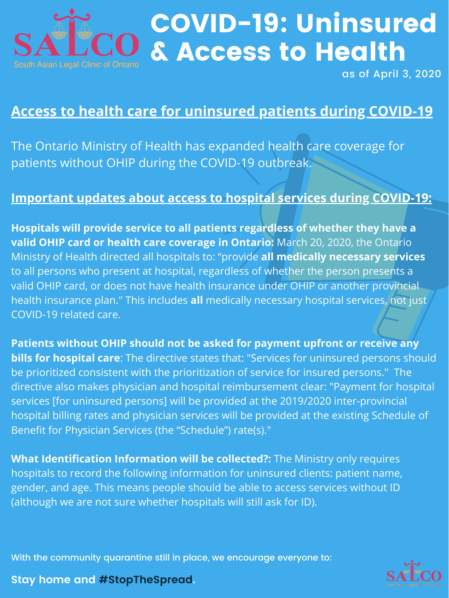

# COVID-19: Uninsured & Access to Health

With the community quarantine still in place, we encourage everyone to:





as of April 3, 2020

### **Access to health care for uninsured patients during COVID-19**

The Ontario Ministry of Health has expanded health care coverage for patients without OHIP during the COVID-19 outbreak.

### **Important updates about access to hospital services during COVID-19:**

**Hospitals will provide service to all patients regardless of whether they have a valid OHIP card or health care coverage in Ontario:** March 20, 2020, the Ontario Ministry of Health directed all hospitals to: "provide **all medically necessary services** to all persons who present at hospital, regardless of whether the person presents a valid OHIP card, or does not have health insurance under OHIP or another provincial health insurance plan." This includes **all** medically necessary hospital services, not just

#### COVID-19 related care.

**Patients without OHIP should not be asked for payment upfront or receive any bills for hospital care**: The directive states that: "Services for uninsured persons should be prioritized consistent with the prioritization of service for insured persons." The directive also makes physician and hospital reimbursement clear: "Payment for hospital services [for uninsured persons] will be provided at the 2019/2020 inter-provincial hospital billing rates and physician services will be provided at the existing Schedule of Benefit for Physician Services (the "Schedule") rate(s)."

**What Identification Information will be collected?:** The Ministry only requires hospitals to record the following information for uninsured clients: patient name, gender, and age. This means people should be able to access services without ID (although we are not sure whether hospitals will still ask for ID).